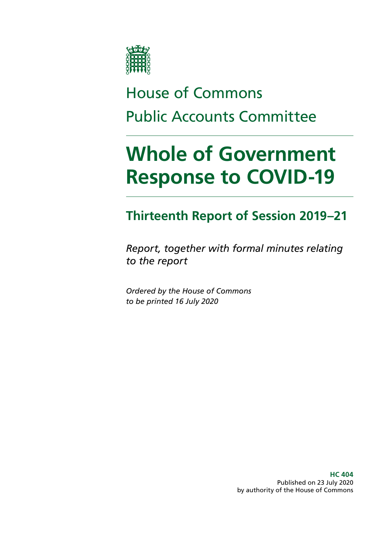

# House of Commons Public Accounts Committee

# **Whole of Government Response to COVID-19**

# **Thirteenth Report of Session 2019–21**

*Report, together with formal minutes relating to the report*

*Ordered by the House of Commons to be printed 16 July 2020*

> **HC 404** Published on 23 July 2020 by authority of the House of Commons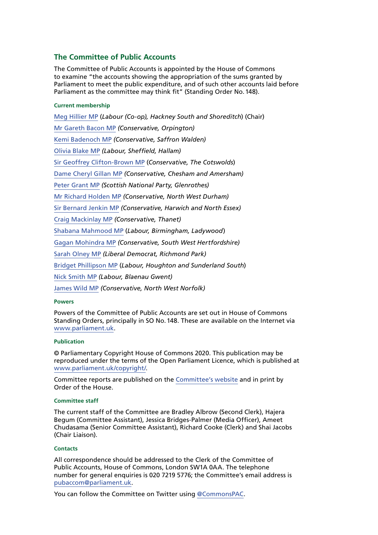### **The Committee of Public Accounts**

The Committee of Public Accounts is appointed by the House of Commons to examine "the accounts showing the appropriation of the sums granted by Parliament to meet the public expenditure, and of such other accounts laid before Parliament as the committee may think fit" (Standing Order No.148).

#### **Current membership**

[Meg Hillier MP](https://www.parliament.uk/biographies/commons/meg-hillier/1524) (*Labour (Co-op), Hackney South and Shoreditch*) (Chair) [Mr Gareth Bacon MP](https://members.parliament.uk/member/4798/contact) *(Conservative, Orpington)* [Kemi Badenoch MP](https://members.parliament.uk/member/4597/contact) *(Conservative, Saffron Walden)* [Olivia Blake MP](https://members.parliament.uk/member/4864/contact) *(Labour, Sheffield, Hallam)* [Sir Geoffrey Clifton-Brown MP](https://www.parliament.uk/biographies/commons/geoffrey-clifton-brown/249) (*Conservative, The Cotswolds*) [Dame Cheryl Gillan MP](https://members.parliament.uk/member/18/contact) *(Conservative, Chesham and Amersham)* [Peter Grant MP](https://members.parliament.uk/member/4466/contact) *(Scottish National Party, Glenrothes)* [Mr Richard Holden MP](https://members.parliament.uk/member/4813/contact) *(Conservative, North West Durham)* [Sir Bernard Jenkin MP](https://members.parliament.uk/member/40/contact) *(Conservative, Harwich and North Essex)* [Craig Mackinlay MP](https://members.parliament.uk/member/4529/contact) *(Conservative, Thanet)* [Shabana Mahmood MP](https://www.parliament.uk/biographies/commons/shabana-mahmood/3914) (*Labour, Birmingham, Ladywood*) [Gagan Mohindra MP](https://members.parliament.uk/member/4804/contact) *(Conservative, South West Hertfordshire)* [Sarah Olney MP](https://members.parliament.uk/member/4591/contact) *(Liberal Democrat, Richmond Park)* [Bridget Phillipson MP](https://www.parliament.uk/biographies/commons/bridget-phillipson/4046) (*Labour, Houghton and Sunderland South*) [Nick Smith MP](https://members.parliament.uk/member/3928/contact) *(Labour, Blaenau Gwent)* [James Wild MP](https://members.parliament.uk/member/4787/contact) *(Conservative, North West Norfolk)*

#### **Powers**

Powers of the Committee of Public Accounts are set out in House of Commons Standing Orders, principally in SO No.148. These are available on the Internet via [www.parliament.uk](http://www.parliament.uk).

#### **Publication**

© Parliamentary Copyright House of Commons 2020. This publication may be reproduced under the terms of the Open Parliament Licence, which is published at [www.parliament.uk/copyright/.](https://www.parliament.uk/copyright/)

Committee reports are published on the [Committee's website](https://committees.parliament.uk/committee/127/public-accounts-committee/) and in print by Order of the House.

#### **Committee staff**

The current staff of the Committee are Bradley Albrow (Second Clerk), Hajera Begum (Committee Assistant), Jessica Bridges-Palmer (Media Officer), Ameet Chudasama (Senior Committee Assistant), Richard Cooke (Clerk) and Shai Jacobs (Chair Liaison).

#### **Contacts**

All correspondence should be addressed to the Clerk of the Committee of Public Accounts, House of Commons, London SW1A 0AA. The telephone number for general enquiries is 020 7219 5776; the Committee's email address is [pubaccom@parliament.uk.](mailto:pubaccom%40parliament.uk?subject=)

You can follow the Committee on Twitter using [@CommonsPAC.](https://twitter.com/commonspac)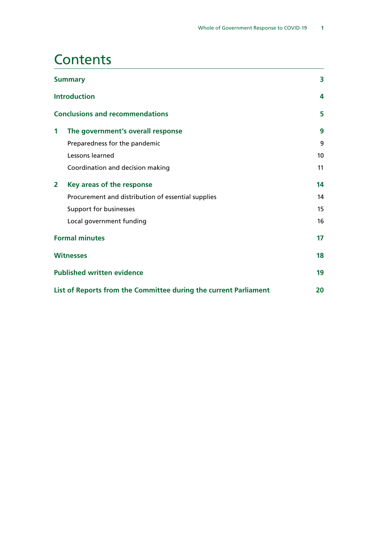### **Contents**

|                                                                  | <b>Summary</b>                                     | 3               |
|------------------------------------------------------------------|----------------------------------------------------|-----------------|
|                                                                  | <b>Introduction</b>                                | 4               |
| <b>Conclusions and recommendations</b>                           |                                                    | 5               |
| 1                                                                | The government's overall response                  | 9               |
|                                                                  | Preparedness for the pandemic                      | 9               |
|                                                                  | Lessons learned                                    | 10 <sup>°</sup> |
|                                                                  | Coordination and decision making                   | 11              |
| 2                                                                | Key areas of the response                          | 14              |
|                                                                  | Procurement and distribution of essential supplies | 14              |
|                                                                  | Support for businesses                             | 15              |
|                                                                  | Local government funding                           | 16              |
| <b>Formal minutes</b>                                            |                                                    | 17              |
| <b>Witnesses</b>                                                 |                                                    | 18              |
| <b>Published written evidence</b>                                |                                                    | 19              |
| List of Reports from the Committee during the current Parliament |                                                    |                 |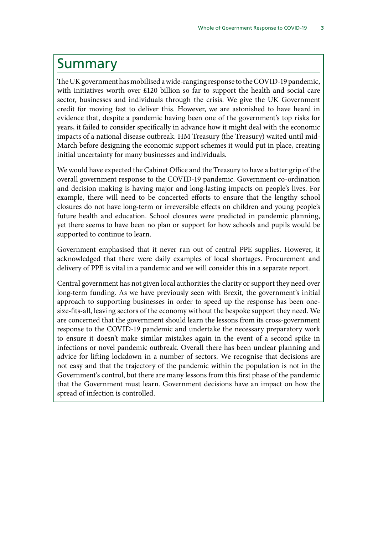### <span id="page-4-0"></span>Summary

The UK government has mobilised a wide-ranging response to the COVID-19 pandemic, with initiatives worth over £120 billion so far to support the health and social care sector, businesses and individuals through the crisis. We give the UK Government credit for moving fast to deliver this. However, we are astonished to have heard in evidence that, despite a pandemic having been one of the government's top risks for years, it failed to consider specifically in advance how it might deal with the economic impacts of a national disease outbreak. HM Treasury (the Treasury) waited until mid-March before designing the economic support schemes it would put in place, creating initial uncertainty for many businesses and individuals.

We would have expected the Cabinet Office and the Treasury to have a better grip of the overall government response to the COVID-19 pandemic. Government co-ordination and decision making is having major and long-lasting impacts on people's lives. For example, there will need to be concerted efforts to ensure that the lengthy school closures do not have long-term or irreversible effects on children and young people's future health and education. School closures were predicted in pandemic planning, yet there seems to have been no plan or support for how schools and pupils would be supported to continue to learn.

Government emphasised that it never ran out of central PPE supplies. However, it acknowledged that there were daily examples of local shortages. Procurement and delivery of PPE is vital in a pandemic and we will consider this in a separate report.

Central government has not given local authorities the clarity or support they need over long-term funding. As we have previously seen with Brexit, the government's initial approach to supporting businesses in order to speed up the response has been onesize-fits-all, leaving sectors of the economy without the bespoke support they need. We are concerned that the government should learn the lessons from its cross-government response to the COVID-19 pandemic and undertake the necessary preparatory work to ensure it doesn't make similar mistakes again in the event of a second spike in infections or novel pandemic outbreak. Overall there has been unclear planning and advice for lifting lockdown in a number of sectors. We recognise that decisions are not easy and that the trajectory of the pandemic within the population is not in the Government's control, but there are many lessons from this first phase of the pandemic that the Government must learn. Government decisions have an impact on how the spread of infection is controlled.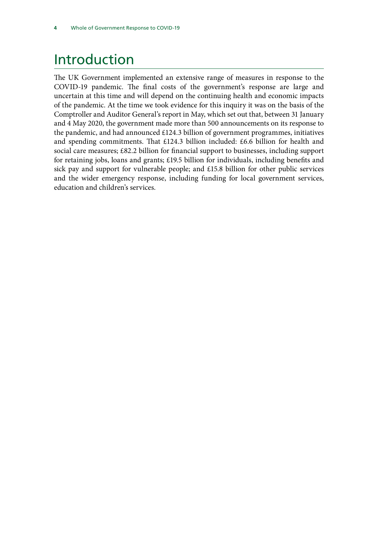# <span id="page-5-0"></span>Introduction

The UK Government implemented an extensive range of measures in response to the COVID-19 pandemic. The final costs of the government's response are large and uncertain at this time and will depend on the continuing health and economic impacts of the pandemic. At the time we took evidence for this inquiry it was on the basis of the Comptroller and Auditor General's report in May, which set out that, between 31 January and 4 May 2020, the government made more than 500 announcements on its response to the pandemic, and had announced £124.3 billion of government programmes, initiatives and spending commitments. That £124.3 billion included: £6.6 billion for health and social care measures; £82.2 billion for financial support to businesses, including support for retaining jobs, loans and grants; £19.5 billion for individuals, including benefits and sick pay and support for vulnerable people; and £15.8 billion for other public services and the wider emergency response, including funding for local government services, education and children's services.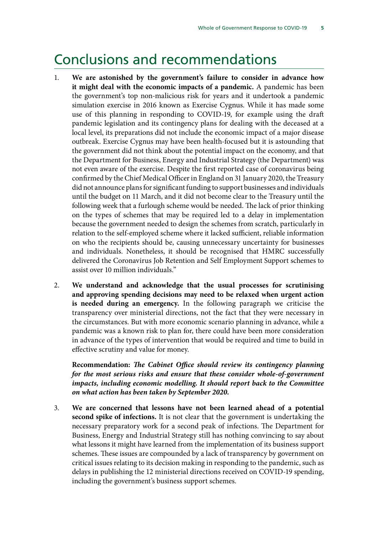### <span id="page-6-0"></span>Conclusions and recommendations

- 1. **We are astonished by the government's failure to consider in advance how it might deal with the economic impacts of a pandemic.** A pandemic has been the government's top non-malicious risk for years and it undertook a pandemic simulation exercise in 2016 known as Exercise Cygnus. While it has made some use of this planning in responding to COVID-19, for example using the draft pandemic legislation and its contingency plans for dealing with the deceased at a local level, its preparations did not include the economic impact of a major disease outbreak. Exercise Cygnus may have been health-focused but it is astounding that the government did not think about the potential impact on the economy, and that the Department for Business, Energy and Industrial Strategy (the Department) was not even aware of the exercise. Despite the first reported case of coronavirus being confirmed by the Chief Medical Officer in England on 31 January 2020, the Treasury did not announce plans for significant funding to support businesses and individuals until the budget on 11 March, and it did not become clear to the Treasury until the following week that a furlough scheme would be needed. The lack of prior thinking on the types of schemes that may be required led to a delay in implementation because the government needed to design the schemes from scratch, particularly in relation to the self-employed scheme where it lacked sufficient, reliable information on who the recipients should be, causing unnecessary uncertainty for businesses and individuals. Nonetheless, it should be recognised that HMRC successfully delivered the Coronavirus Job Retention and Self Employment Support schemes to assist over 10 million individuals."
- 2. **We understand and acknowledge that the usual processes for scrutinising and approving spending decisions may need to be relaxed when urgent action is needed during an emergency.** In the following paragraph we criticise the transparency over ministerial directions, not the fact that they were necessary in the circumstances. But with more economic scenario planning in advance, while a pandemic was a known risk to plan for, there could have been more consideration in advance of the types of intervention that would be required and time to build in effective scrutiny and value for money.

**Recommendation:** *The Cabinet Office should review its contingency planning for the most serious risks and ensure that these consider whole-of-government impacts, including economic modelling. It should report back to the Committee on what action has been taken by September 2020.*

3. **We are concerned that lessons have not been learned ahead of a potential second spike of infections.** It is not clear that the government is undertaking the necessary preparatory work for a second peak of infections. The Department for Business, Energy and Industrial Strategy still has nothing convincing to say about what lessons it might have learned from the implementation of its business support schemes. These issues are compounded by a lack of transparency by government on critical issues relating to its decision making in responding to the pandemic, such as delays in publishing the 12 ministerial directions received on COVID-19 spending, including the government's business support schemes.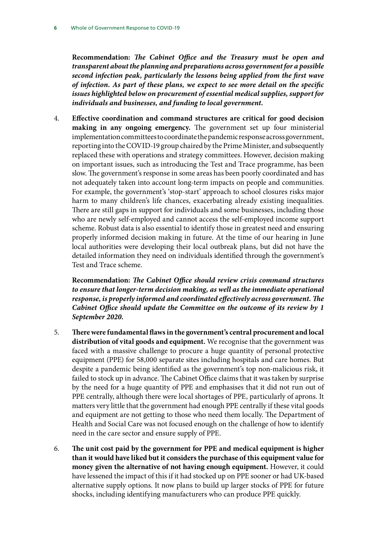**Recommendation:** *The Cabinet Office and the Treasury must be open and transparent about the planning and preparations across government for a possible second infection peak, particularly the lessons being applied from the first wave of infection. As part of these plans, we expect to see more detail on the specific issues highlighted below on procurement of essential medical supplies, support for individuals and businesses, and funding to local government.*

4. **Effective coordination and command structures are critical for good decision making in any ongoing emergency.** The government set up four ministerial implementation committees to coordinate the pandemic response across government, reporting into the COVID-19 group chaired by the Prime Minister, and subsequently replaced these with operations and strategy committees. However, decision making on important issues, such as introducing the Test and Trace programme, has been slow. The government's response in some areas has been poorly coordinated and has not adequately taken into account long-term impacts on people and communities. For example, the government's 'stop-start' approach to school closures risks major harm to many children's life chances, exacerbating already existing inequalities. There are still gaps in support for individuals and some businesses, including those who are newly self-employed and cannot access the self-employed income support scheme. Robust data is also essential to identify those in greatest need and ensuring properly informed decision making in future. At the time of our hearing in June local authorities were developing their local outbreak plans, but did not have the detailed information they need on individuals identified through the government's Test and Trace scheme.

**Recommendation:** *The Cabinet Office should review crisis command structures to ensure that longer-term decision making, as well as the immediate operational response, is properly informed and coordinated effectively across government. The Cabinet Office should update the Committee on the outcome of its review by 1 September 2020.*

- 5. **There were fundamental flaws in the government's central procurement and local distribution of vital goods and equipment.** We recognise that the government was faced with a massive challenge to procure a huge quantity of personal protective equipment (PPE) for 58,000 separate sites including hospitals and care homes. But despite a pandemic being identified as the government's top non-malicious risk, it failed to stock up in advance. The Cabinet Office claims that it was taken by surprise by the need for a huge quantity of PPE and emphasises that it did not run out of PPE centrally, although there were local shortages of PPE, particularly of aprons. It matters very little that the government had enough PPE centrally if these vital goods and equipment are not getting to those who need them locally. The Department of Health and Social Care was not focused enough on the challenge of how to identify need in the care sector and ensure supply of PPE.
- 6. **The unit cost paid by the government for PPE and medical equipment is higher than it would have liked but it considers the purchase of this equipment value for money given the alternative of not having enough equipment.** However, it could have lessened the impact of this if it had stocked up on PPE sooner or had UK-based alternative supply options. It now plans to build up larger stocks of PPE for future shocks, including identifying manufacturers who can produce PPE quickly.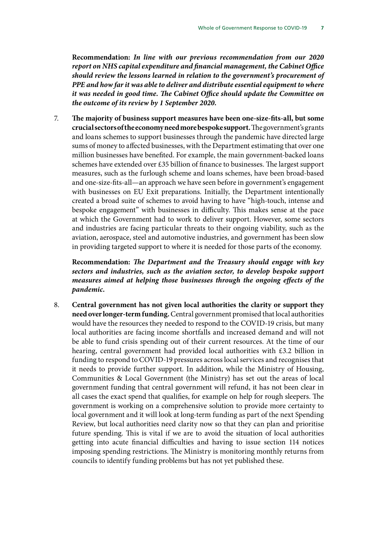**Recommendation:** *In line with our previous recommendation from our 2020 report on NHS capital expenditure and financial management, the Cabinet Office should review the lessons learned in relation to the government's procurement of PPE and how far it was able to deliver and distribute essential equipment to where it was needed in good time. The Cabinet Office should update the Committee on the outcome of its review by 1 September 2020.*

7. **The majority of business support measures have been one-size-fits-all, but some crucial sectors of the economy need more bespoke support.** The government's grants and loans schemes to support businesses through the pandemic have directed large sums of money to affected businesses, with the Department estimating that over one million businesses have benefited. For example, the main government-backed loans schemes have extended over £35 billion of finance to businesses. The largest support measures, such as the furlough scheme and loans schemes, have been broad-based and one-size-fits-all—an approach we have seen before in government's engagement with businesses on EU Exit preparations. Initially, the Department intentionally created a broad suite of schemes to avoid having to have "high-touch, intense and bespoke engagement" with businesses in difficulty. This makes sense at the pace at which the Government had to work to deliver support. However, some sectors and industries are facing particular threats to their ongoing viability, such as the aviation, aerospace, steel and automotive industries, and government has been slow in providing targeted support to where it is needed for those parts of the economy.

**Recommendation:** *The Department and the Treasury should engage with key sectors and industries, such as the aviation sector, to develop bespoke support measures aimed at helping those businesses through the ongoing effects of the pandemic.*

8. **Central government has not given local authorities the clarity or support they need over longer-term funding.** Central government promised that local authorities would have the resources they needed to respond to the COVID-19 crisis, but many local authorities are facing income shortfalls and increased demand and will not be able to fund crisis spending out of their current resources. At the time of our hearing, central government had provided local authorities with £3.2 billion in funding to respond to COVID-19 pressures across local services and recognises that it needs to provide further support. In addition, while the Ministry of Housing, Communities & Local Government (the Ministry) has set out the areas of local government funding that central government will refund, it has not been clear in all cases the exact spend that qualifies, for example on help for rough sleepers. The government is working on a comprehensive solution to provide more certainty to local government and it will look at long-term funding as part of the next Spending Review, but local authorities need clarity now so that they can plan and prioritise future spending. This is vital if we are to avoid the situation of local authorities getting into acute financial difficulties and having to issue section 114 notices imposing spending restrictions. The Ministry is monitoring monthly returns from councils to identify funding problems but has not yet published these.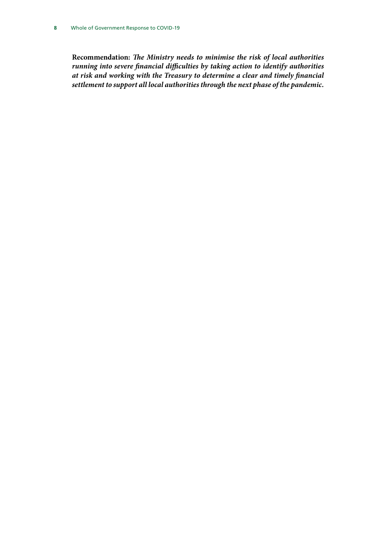**Recommendation:** *The Ministry needs to minimise the risk of local authorities running into severe financial difficulties by taking action to identify authorities at risk and working with the Treasury to determine a clear and timely financial settlement to support all local authorities through the next phase of the pandemic.*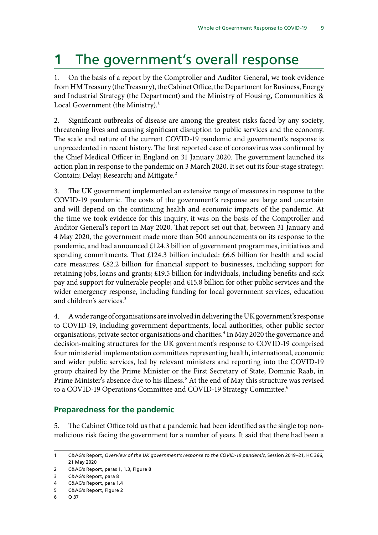# <span id="page-10-0"></span>**1** The government's overall response

1. On the basis of a report by the Comptroller and Auditor General, we took evidence from HM Treasury (the Treasury), the Cabinet Office, the Department for Business, Energy and Industrial Strategy (the Department) and the Ministry of Housing, Communities & Local Government (the Ministry).<sup>1</sup>

2. Significant outbreaks of disease are among the greatest risks faced by any society, threatening lives and causing significant disruption to public services and the economy. The scale and nature of the current COVID-19 pandemic and government's response is unprecedented in recent history. The first reported case of coronavirus was confirmed by the Chief Medical Officer in England on 31 January 2020. The government launched its action plan in response to the pandemic on 3 March 2020. It set out its four-stage strategy: Contain; Delay; Research; and Mitigate.<sup>2</sup>

3. The UK government implemented an extensive range of measures in response to the COVID-19 pandemic. The costs of the government's response are large and uncertain and will depend on the continuing health and economic impacts of the pandemic. At the time we took evidence for this inquiry, it was on the basis of the Comptroller and Auditor General's report in May 2020. That report set out that, between 31 January and 4 May 2020, the government made more than 500 announcements on its response to the pandemic, and had announced £124.3 billion of government programmes, initiatives and spending commitments. That £124.3 billion included: £6.6 billion for health and social care measures; £82.2 billion for financial support to businesses, including support for retaining jobs, loans and grants; £19.5 billion for individuals, including benefits and sick pay and support for vulnerable people; and £15.8 billion for other public services and the wider emergency response, including funding for local government services, education and children's services.3

4. A wide range of organisations are involved in delivering the UK government's response to COVID-19, including government departments, local authorities, other public sector organisations, private sector organisations and charities.<sup>4</sup> In May 2020 the governance and decision-making structures for the UK government's response to COVID-19 comprised four ministerial implementation committees representing health, international, economic and wider public services, led by relevant ministers and reporting into the COVID-19 group chaired by the Prime Minister or the First Secretary of State, Dominic Raab, in Prime Minister's absence due to his illness.<sup>5</sup> At the end of May this structure was revised to a COVID-19 Operations Committee and COVID-19 Strategy Committee.<sup>6</sup>

### **Preparedness for the pandemic**

5. The Cabinet Office told us that a pandemic had been identified as the single top nonmalicious risk facing the government for a number of years. It said that there had been a

<sup>1</sup> C&AG's Report, *Overview of the UK government's response to the COVID-19 pandemic*, Session 2019–21, HC 366, 21 May 2020

<sup>2</sup> C&AG's Report, paras 1, 1.3, Figure 8

<sup>3</sup> C&AG's Report, para 8

<sup>4</sup> C&AG's Report, para 1.4

<sup>5</sup> C&AG's Report, Figure 2

<sup>6</sup> Q 37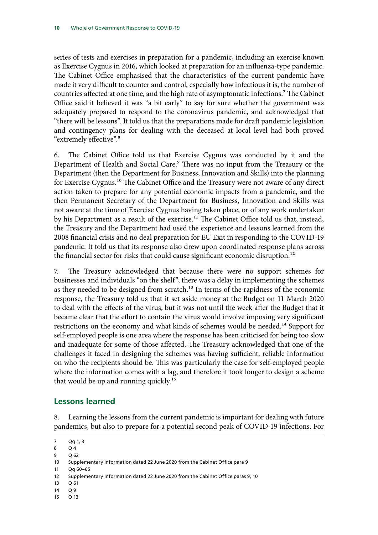<span id="page-11-0"></span>series of tests and exercises in preparation for a pandemic, including an exercise known as Exercise Cygnus in 2016, which looked at preparation for an influenza-type pandemic. The Cabinet Office emphasised that the characteristics of the current pandemic have made it very difficult to counter and control, especially how infectious it is, the number of countries affected at one time, and the high rate of asymptomatic infections.<sup>7</sup> The Cabinet Office said it believed it was "a bit early" to say for sure whether the government was adequately prepared to respond to the coronavirus pandemic, and acknowledged that "there will be lessons". It told us that the preparations made for draft pandemic legislation and contingency plans for dealing with the deceased at local level had both proved "extremely effective".8

6. The Cabinet Office told us that Exercise Cygnus was conducted by it and the Department of Health and Social Care.<sup>9</sup> There was no input from the Treasury or the Department (then the Department for Business, Innovation and Skills) into the planning for Exercise Cygnus.<sup>10</sup> The Cabinet Office and the Treasury were not aware of any direct action taken to prepare for any potential economic impacts from a pandemic, and the then Permanent Secretary of the Department for Business, Innovation and Skills was not aware at the time of Exercise Cygnus having taken place, or of any work undertaken by his Department as a result of the exercise.<sup>11</sup> The Cabinet Office told us that, instead, the Treasury and the Department had used the experience and lessons learned from the 2008 financial crisis and no deal preparation for EU Exit in responding to the COVID-19 pandemic. It told us that its response also drew upon coordinated response plans across the financial sector for risks that could cause significant economic disruption.<sup>12</sup>

7. The Treasury acknowledged that because there were no support schemes for businesses and individuals "on the shelf", there was a delay in implementing the schemes as they needed to be designed from scratch.<sup>13</sup> In terms of the rapidness of the economic response, the Treasury told us that it set aside money at the Budget on 11 March 2020 to deal with the effects of the virus, but it was not until the week after the Budget that it became clear that the effort to contain the virus would involve imposing very significant restrictions on the economy and what kinds of schemes would be needed.<sup>14</sup> Support for self-employed people is one area where the response has been criticised for being too slow and inadequate for some of those affected. The Treasury acknowledged that one of the challenges it faced in designing the schemes was having sufficient, reliable information on who the recipients should be. This was particularly the case for self-employed people where the information comes with a lag, and therefore it took longer to design a scheme that would be up and running quickly.<sup>15</sup>

### **Lessons learned**

8. Learning the lessons from the current pandemic is important for dealing with future pandemics, but also to prepare for a potential second peak of COVID-19 infections. For

9 Q 62

11 Qq 60–65

- 13 Q 61
- 14 O 9
- 15 Q 13

<sup>7</sup> Qq 1, 3

<sup>8</sup> Q 4

<sup>10</sup> Supplementary Information dated 22 June 2020 from the Cabinet Office para 9

<sup>12</sup> Supplementary Information dated 22 June 2020 from the Cabinet Office paras 9, 10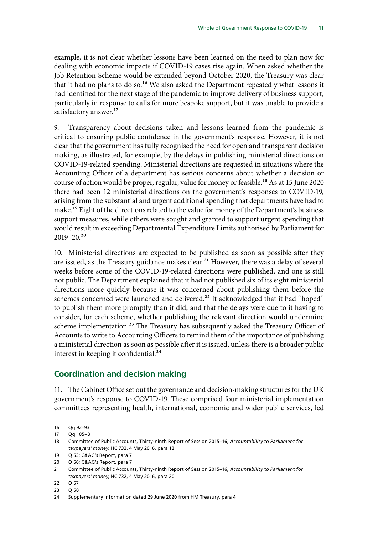<span id="page-12-0"></span>example, it is not clear whether lessons have been learned on the need to plan now for dealing with economic impacts if COVID-19 cases rise again. When asked whether the Job Retention Scheme would be extended beyond October 2020, the Treasury was clear that it had no plans to do so.<sup>16</sup> We also asked the Department repeatedly what lessons it had identified for the next stage of the pandemic to improve delivery of business support, particularly in response to calls for more bespoke support, but it was unable to provide a satisfactory answer.<sup>17</sup>

9. Transparency about decisions taken and lessons learned from the pandemic is critical to ensuring public confidence in the government's response. However, it is not clear that the government has fully recognised the need for open and transparent decision making, as illustrated, for example, by the delays in publishing ministerial directions on COVID-19-related spending. Ministerial directions are requested in situations where the Accounting Officer of a department has serious concerns about whether a decision or course of action would be proper, regular, value for money or feasible.<sup>18</sup> As at 15 June 2020 there had been 12 ministerial directions on the government's responses to COVID-19, arising from the substantial and urgent additional spending that departments have had to make.<sup>19</sup> Eight of the directions related to the value for money of the Department's business support measures, while others were sought and granted to support urgent spending that would result in exceeding Departmental Expenditure Limits authorised by Parliament for  $2019 - 20.<sup>20</sup>$ 

10. Ministerial directions are expected to be published as soon as possible after they are issued, as the Treasury guidance makes clear.<sup>21</sup> However, there was a delay of several weeks before some of the COVID-19-related directions were published, and one is still not public. The Department explained that it had not published six of its eight ministerial directions more quickly because it was concerned about publishing them before the schemes concerned were launched and delivered.<sup>22</sup> It acknowledged that it had "hoped" to publish them more promptly than it did, and that the delays were due to it having to consider, for each scheme, whether publishing the relevant direction would undermine scheme implementation.<sup>23</sup> The Treasury has subsequently asked the Treasury Officer of Accounts to write to Accounting Officers to remind them of the importance of publishing a ministerial direction as soon as possible after it is issued, unless there is a broader public interest in keeping it confidential.<sup>24</sup>

### **Coordination and decision making**

11. The Cabinet Office set out the governance and decision-making structures for the UK government's response to COVID-19. These comprised four ministerial implementation committees representing health, international, economic and wider public services, led

<sup>16</sup> Qq 92–93

<sup>17</sup> Qq 105–8

<sup>18</sup> Committee of Public Accounts, Thirty-ninth Report of Session 2015–16, *Accountability to Parliament for taxpayers' money*, HC 732, 4 May 2016, para 18

<sup>19</sup> Q 53; C&AG's Report, para 7

<sup>20</sup> Q 56; C&AG's Report, para 7

<sup>21</sup> Committee of Public Accounts, Thirty-ninth Report of Session 2015–16, *Accountability to Parliament for taxpayers' money*, HC 732, 4 May 2016, para 20

<sup>22</sup> Q 57

<sup>23</sup> Q 58

<sup>24</sup> Supplementary Information dated 29 June 2020 from HM Treasury, para 4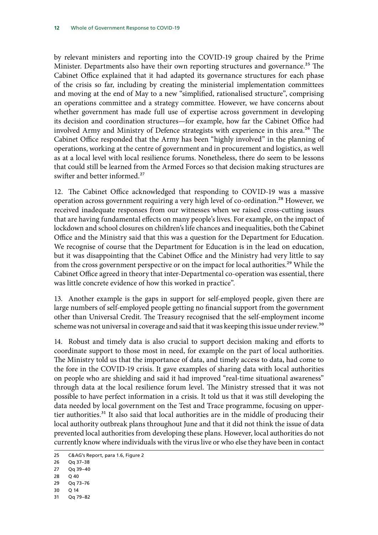by relevant ministers and reporting into the COVID-19 group chaired by the Prime Minister. Departments also have their own reporting structures and governance.<sup>25</sup> The Cabinet Office explained that it had adapted its governance structures for each phase of the crisis so far, including by creating the ministerial implementation committees and moving at the end of May to a new "simplified, rationalised structure", comprising an operations committee and a strategy committee. However, we have concerns about whether government has made full use of expertise across government in developing its decision and coordination structures—for example, how far the Cabinet Office had involved Army and Ministry of Defence strategists with experience in this area.<sup>26</sup> The Cabinet Office responded that the Army has been "highly involved" in the planning of operations, working at the centre of government and in procurement and logistics, as well as at a local level with local resilience forums. Nonetheless, there do seem to be lessons that could still be learned from the Armed Forces so that decision making structures are swifter and better informed.<sup>27</sup>

12. The Cabinet Office acknowledged that responding to COVID-19 was a massive operation across government requiring a very high level of co-ordination.<sup>28</sup> However, we received inadequate responses from our witnesses when we raised cross-cutting issues that are having fundamental effects on many people's lives. For example, on the impact of lockdown and school closures on children's life chances and inequalities, both the Cabinet Office and the Ministry said that this was a question for the Department for Education. We recognise of course that the Department for Education is in the lead on education, but it was disappointing that the Cabinet Office and the Ministry had very little to say from the cross government perspective or on the impact for local authorities.<sup>29</sup> While the Cabinet Office agreed in theory that inter-Departmental co-operation was essential, there was little concrete evidence of how this worked in practice".

13. Another example is the gaps in support for self-employed people, given there are large numbers of self-employed people getting no financial support from the government other than Universal Credit. The Treasury recognised that the self-employment income scheme was not universal in coverage and said that it was keeping this issue under review.<sup>30</sup>

14. Robust and timely data is also crucial to support decision making and efforts to coordinate support to those most in need, for example on the part of local authorities. The Ministry told us that the importance of data, and timely access to data, had come to the fore in the COVID-19 crisis. It gave examples of sharing data with local authorities on people who are shielding and said it had improved "real-time situational awareness" through data at the local resilience forum level. The Ministry stressed that it was not possible to have perfect information in a crisis. It told us that it was still developing the data needed by local government on the Test and Trace programme, focusing on uppertier authorities.<sup>31</sup> It also said that local authorities are in the middle of producing their local authority outbreak plans throughout June and that it did not think the issue of data prevented local authorities from developing these plans. However, local authorities do not currently know where individuals with the virus live or who else they have been in contact

31 Qq 79–82

<sup>25</sup> C&AG's Report, para 1.6, Figure 2

<sup>26</sup> Qq 37–38

<sup>27</sup> Qq 39–40

<sup>28</sup> Q 40

<sup>29</sup> Qq 73–76

<sup>30</sup> Q 14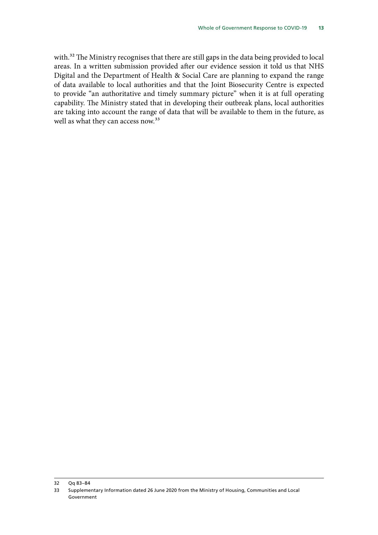with.<sup>32</sup> The Ministry recognises that there are still gaps in the data being provided to local areas. In a written submission provided after our evidence session it told us that NHS Digital and the Department of Health & Social Care are planning to expand the range of data available to local authorities and that the Joint Biosecurity Centre is expected to provide "an authoritative and timely summary picture" when it is at full operating capability. The Ministry stated that in developing their outbreak plans, local authorities are taking into account the range of data that will be available to them in the future, as well as what they can access now.<sup>33</sup>

<sup>32</sup> Qq 83–84

<sup>33</sup> Supplementary Information dated 26 June 2020 from the Ministry of Housing, Communities and Local Government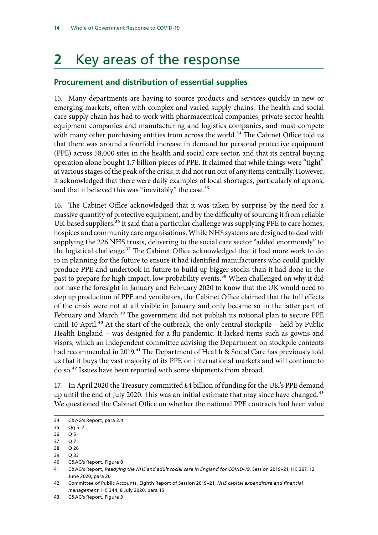# <span id="page-15-0"></span>**2** Key areas of the response

### **Procurement and distribution of essential supplies**

15. Many departments are having to source products and services quickly in new or emerging markets, often with complex and varied supply chains. The health and social care supply chain has had to work with pharmaceutical companies, private sector health equipment companies and manufacturing and logistics companies, and must compete with many other purchasing entities from across the world.<sup>34</sup> The Cabinet Office told us that there was around a fourfold increase in demand for personal protective equipment (PPE) across 58,000 sites in the health and social care sector, and that its central buying operation alone bought 1.7 billion pieces of PPE. It claimed that while things were "tight" at various stages of the peak of the crisis, it did not run out of any items centrally. However, it acknowledged that there were daily examples of local shortages, particularly of aprons, and that it believed this was "inevitably" the case.<sup>35</sup>

16. The Cabinet Office acknowledged that it was taken by surprise by the need for a massive quantity of protective equipment, and by the difficulty of sourcing it from reliable UK-based suppliers.<sup>36</sup> It said that a particular challenge was supplying PPE to care homes, hospices and community care organisations. While NHS systems are designed to deal with supplying the 226 NHS trusts, delivering to the social care sector "added enormously" to the logistical challenge.<sup>37</sup> The Cabinet Office acknowledged that it had more work to do to in planning for the future to ensure it had identified manufacturers who could quickly produce PPE and undertook in future to build up bigger stocks than it had done in the past to prepare for high-impact, low probability events.<sup>38</sup> When challenged on why it did not have the foresight in January and February 2020 to know that the UK would need to step up production of PPE and ventilators, the Cabinet Office claimed that the full effects of the crisis were not at all visible in January and only became so in the latter part of February and March.<sup>39</sup> The government did not publish its national plan to secure PPE until 10 April.<sup>40</sup> At the start of the outbreak, the only central stockpile – held by Public Health England – was designed for a flu pandemic. It lacked items such as gowns and visors, which an independent committee advising the Department on stockpile contents had recommended in 2019.<sup>41</sup> The Department of Health & Social Care has previously told us that it buys the vast majority of its PPE on international markets and will continue to do so.42 Issues have been reported with some shipments from abroad.

17. In April 2020 the Treasury committed £4 billion of funding for the UK's PPE demand up until the end of July 2020. This was an initial estimate that may since have changed. $43$ We questioned the Cabinet Office on whether the national PPE contracts had been value

- 39 Q 33 40 C&AG's Report, Figure 8
- 41 C&AG's Report, *Readying the NHS and adult social care in England for COVID-19*, Session 2019–21, HC 367, 12
- June 2020, para 20
- 42 Committee of Public Accounts, Eighth Report of Session 2019–21, *NHS capital expenditure and financial management*, HC 344, 8 July 2020, para 15
- 43 C&AG's Report, Figure 3

<sup>34</sup> C&AG's Report, para 3.4

<sup>35</sup> Qq 5–7

<sup>36</sup> O 5

<sup>37</sup> Q 7

<sup>38</sup> Q 26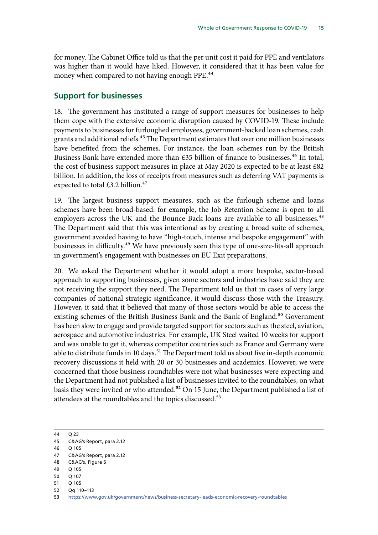<span id="page-16-0"></span>for money. The Cabinet Office told us that the per unit cost it paid for PPE and ventilators was higher than it would have liked. However, it considered that it has been value for money when compared to not having enough PPE.<sup>44</sup>

### **Support for businesses**

18. The government has instituted a range of support measures for businesses to help them cope with the extensive economic disruption caused by COVID-19. These include payments to businesses for furloughed employees, government-backed loan schemes, cash grants and additional reliefs.<sup>45</sup> The Department estimates that over one million businesses have benefited from the schemes. For instance, the loan schemes run by the British Business Bank have extended more than  $£35$  billion of finance to businesses.<sup>46</sup> In total, the cost of business support measures in place at May 2020 is expected to be at least £82 billion. In addition, the loss of receipts from measures such as deferring VAT payments is expected to total  $£3.2$  billion.<sup>47</sup>

19. The largest business support measures, such as the furlough scheme and loans schemes have been broad-based: for example, the Job Retention Scheme is open to all employers across the UK and the Bounce Back loans are available to all businesses.<sup>48</sup> The Department said that this was intentional as by creating a broad suite of schemes, government avoided having to have "high-touch, intense and bespoke engagement" with businesses in difficulty.<sup>49</sup> We have previously seen this type of one-size-fits-all approach in government's engagement with businesses on EU Exit preparations.

20. We asked the Department whether it would adopt a more bespoke, sector-based approach to supporting businesses, given some sectors and industries have said they are not receiving the support they need. The Department told us that in cases of very large companies of national strategic significance, it would discuss those with the Treasury. However, it said that it believed that many of those sectors would be able to access the existing schemes of the British Business Bank and the Bank of England.<sup>50</sup> Government has been slow to engage and provide targeted support for sectors such as the steel, aviation, aerospace and automotive industries. For example, UK Steel waited 10 weeks for support and was unable to get it, whereas competitor countries such as France and Germany were able to distribute funds in 10 days.<sup>51</sup> The Department told us about five in-depth economic recovery discussions it held with 20 or 30 businesses and academics. However, we were concerned that those business roundtables were not what businesses were expecting and the Department had not published a list of businesses invited to the roundtables, on what basis they were invited or who attended.<sup>52</sup> On 15 June, the Department published a list of attendees at the roundtables and the topics discussed.<sup>53</sup>

- 50 Q 107
- 51 Q 105
- 52 Qq 110–113

<sup>44</sup> Q 23

<sup>45</sup> C&AG's Report, para 2.12

<sup>46</sup> Q 105

<sup>47</sup> C&AG's Report, para 2.12

<sup>48</sup> C&AG's, Figure 6

<sup>49</sup> Q 105

<sup>53</sup> <https://www.gov.uk/government/news/business-secretary-leads-economic-recovery-roundtables>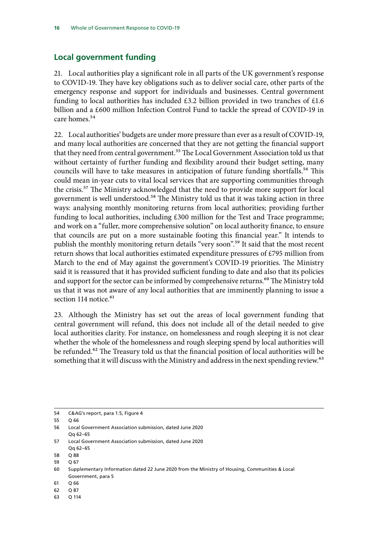### <span id="page-17-0"></span>**Local government funding**

21. Local authorities play a significant role in all parts of the UK government's response to COVID-19. They have key obligations such as to deliver social care, other parts of the emergency response and support for individuals and businesses. Central government funding to local authorities has included  $£3.2$  billion provided in two tranches of £1.6 billion and a £600 million Infection Control Fund to tackle the spread of COVID-19 in care homes.<sup>54</sup>

22. Local authorities' budgets are under more pressure than ever as a result of COVID-19, and many local authorities are concerned that they are not getting the financial support that they need from central government.<sup>55</sup> The Local Government Association told us that without certainty of further funding and flexibility around their budget setting, many councils will have to take measures in anticipation of future funding shortfalls.<sup>56</sup> This could mean in-year cuts to vital local services that are supporting communities through the crisis.57 The Ministry acknowledged that the need to provide more support for local government is well understood.<sup>58</sup> The Ministry told us that it was taking action in three ways: analysing monthly monitoring returns from local authorities; providing further funding to local authorities, including £300 million for the Test and Trace programme; and work on a "fuller, more comprehensive solution" on local authority finance, to ensure that councils are put on a more sustainable footing this financial year." It intends to publish the monthly monitoring return details "very soon".<sup>59</sup> It said that the most recent return shows that local authorities estimated expenditure pressures of £795 million from March to the end of May against the government's COVID-19 priorities. The Ministry said it is reassured that it has provided sufficient funding to date and also that its policies and support for the sector can be informed by comprehensive returns.<sup>60</sup> The Ministry told us that it was not aware of any local authorities that are imminently planning to issue a section  $114$  notice.<sup>61</sup>

23. Although the Ministry has set out the areas of local government funding that central government will refund, this does not include all of the detail needed to give local authorities clarity. For instance, on homelessness and rough sleeping it is not clear whether the whole of the homelessness and rough sleeping spend by local authorities will be refunded.<sup>62</sup> The Treasury told us that the financial position of local authorities will be something that it will discuss with the Ministry and address in the next spending review.<sup>63</sup>

63 Q 114

<sup>54</sup> C&AG's report, para 1.5, Figure 4

<sup>55</sup> Q 66

<sup>56</sup> Local Government Association submission, dated June 2020 Qq 62–65

<sup>57</sup> Local Government Association submission, dated June 2020 Qq 62–65

<sup>58 0.88</sup> 

<sup>59</sup> Q 67

<sup>60</sup> Supplementary Information dated 22 June 2020 from the Ministry of Housing, Communities & Local Government, para 5

<sup>61</sup> Q 66

<sup>62</sup> Q 87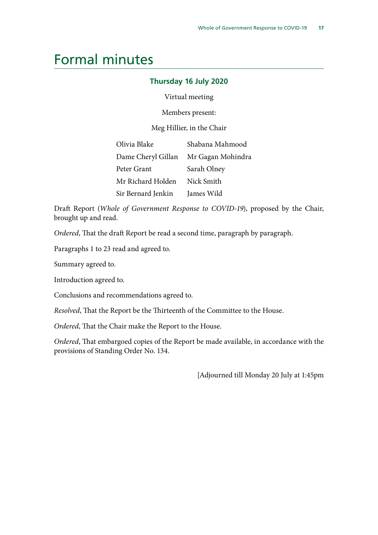### <span id="page-18-0"></span>Formal minutes

#### **Thursday 16 July 2020**

Virtual meeting

Members present:

Meg Hillier, in the Chair

| Olivia Blake       | Shabana Mahmood                      |
|--------------------|--------------------------------------|
|                    | Dame Cheryl Gillan Mr Gagan Mohindra |
| Peter Grant        | Sarah Olney                          |
| Mr Richard Holden  | Nick Smith                           |
| Sir Bernard Jenkin | James Wild                           |

Draft Report (*Whole of Government Response to COVID-19*), proposed by the Chair, brought up and read.

*Ordered*, That the draft Report be read a second time, paragraph by paragraph.

Paragraphs 1 to 23 read and agreed to.

Summary agreed to.

Introduction agreed to.

Conclusions and recommendations agreed to.

*Resolved*, That the Report be the Thirteenth of the Committee to the House.

*Ordered*, That the Chair make the Report to the House.

*Ordered*, That embargoed copies of the Report be made available, in accordance with the provisions of Standing Order No. 134.

[Adjourned till Monday 20 July at 1:45pm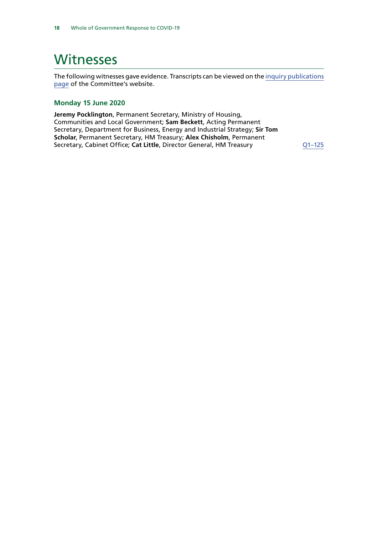## <span id="page-19-0"></span>**Witnesses**

The following witnesses gave evidence. Transcripts can be viewed on the [inquiry publications](https://committees.parliament.uk/work/335/whole-of-government-response-to-covid19/publications/) [page](https://committees.parliament.uk/work/335/whole-of-government-response-to-covid19/publications/) of the Committee's website.

#### **Monday 15 June 2020**

**Jeremy Pocklington**, Permanent Secretary, Ministry of Housing, Communities and Local Government; **Sam Beckett**, Acting Permanent Secretary, Department for Business, Energy and Industrial Strategy; **Sir Tom Scholar**, Permanent Secretary, HM Treasury; **Alex Chisholm**, Permanent Secretary, Cabinet Office; Cat Little, Director General, HM Treasury **Q1-125**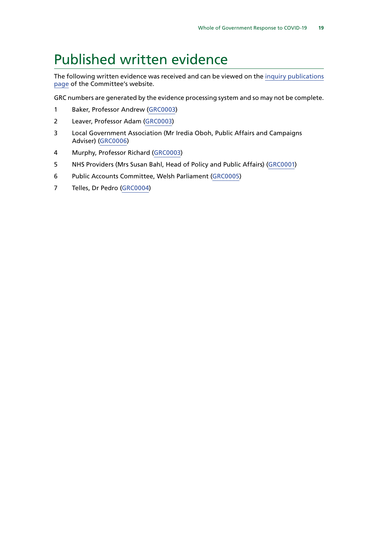## <span id="page-20-0"></span>Published written evidence

The following written evidence was received and can be viewed on the [inquiry publications](https://committees.parliament.uk/work/335/default/publications/written-evidence/) [page](https://committees.parliament.uk/work/335/default/publications/written-evidence/) of the Committee's website.

GRC numbers are generated by the evidence processing system and so may not be complete.

- 1 Baker, Professor Andrew [\(GRC0003](https://committees.parliament.uk/writtenevidence/6520/html/))
- 2 Leaver, Professor Adam ([GRC0003\)](https://committees.parliament.uk/writtenevidence/6520/html/)
- 3 Local Government Association (Mr Iredia Oboh, Public Affairs and Campaigns Adviser) [\(GRC0006\)](https://committees.parliament.uk/writtenevidence/6556/html/)
- 4 Murphy, Professor Richard [\(GRC0003](https://committees.parliament.uk/writtenevidence/6520/html/))
- 5 NHS Providers (Mrs Susan Bahl, Head of Policy and Public Affairs) ([GRC0001](https://committees.parliament.uk/writtenevidence/6470/html/))
- 6 Public Accounts Committee, Welsh Parliament ([GRC0005](https://committees.parliament.uk/writtenevidence/6530/html/))
- 7 Telles, Dr Pedro [\(GRC0004\)](https://committees.parliament.uk/writtenevidence/6524/html/)